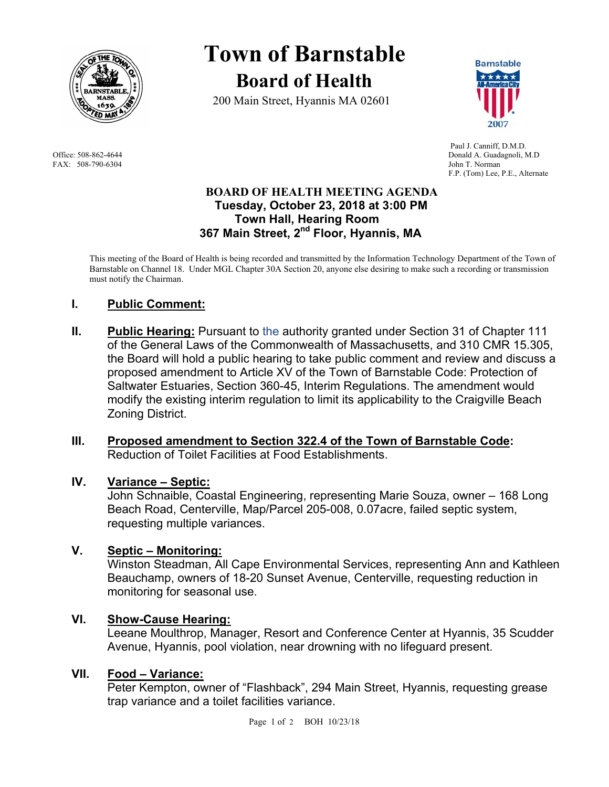

FAX: 508-790-6304 John T. Norman

# **Town of Barnstable Board of Health**

200 Main Street, Hyannis MA 02601



 Paul J. Canniff, D.M.D. Office: 508-862-4644 Donald A. Guadagnoli, M.D F.P. (Tom) Lee, P.E., Alternate

## **BOARD OF HEALTH MEETING AGENDA Tuesday, October 23, 2018 at 3:00 PM Town Hall, Hearing Room 367 Main Street, 2nd Floor, Hyannis, MA**

This meeting of the Board of Health is being recorded and transmitted by the Information Technology Department of the Town of Barnstable on Channel 18. Under MGL Chapter 30A Section 20, anyone else desiring to make such a recording or transmission must notify the Chairman.

# **I. Public Comment:**

**II.** Public Hearing: Pursuant to the authority granted under Section 31 of Chapter 111 of the General Laws of the Commonwealth of Massachusetts, and 310 CMR 15.305, the Board will hold a public hearing to take public comment and review and discuss a proposed amendment to Article XV of the Town of Barnstable Code: Protection of Saltwater Estuaries, Section 360-45, Interim Regulations. The amendment would modify the existing interim regulation to limit its applicability to the Craigville Beach Zoning District.

## **III. Proposed amendment to Section 322.4 of the Town of Barnstable Code:**  Reduction of Toilet Facilities at Food Establishments.

## **IV. Variance – Septic:**

John Schnaible, Coastal Engineering, representing Marie Souza, owner – 168 Long Beach Road, Centerville, Map/Parcel 205-008, 0.07acre, failed septic system, requesting multiple variances.

## **V. Septic – Monitoring:**

Winston Steadman, All Cape Environmental Services, representing Ann and Kathleen Beauchamp, owners of 18-20 Sunset Avenue, Centerville, requesting reduction in monitoring for seasonal use.

## **VI. Show-Cause Hearing:**

Leeane Moulthrop, Manager, Resort and Conference Center at Hyannis, 35 Scudder Avenue, Hyannis, pool violation, near drowning with no lifeguard present.

## **VII. Food – Variance:**

Peter Kempton, owner of "Flashback", 294 Main Street, Hyannis, requesting grease trap variance and a toilet facilities variance.